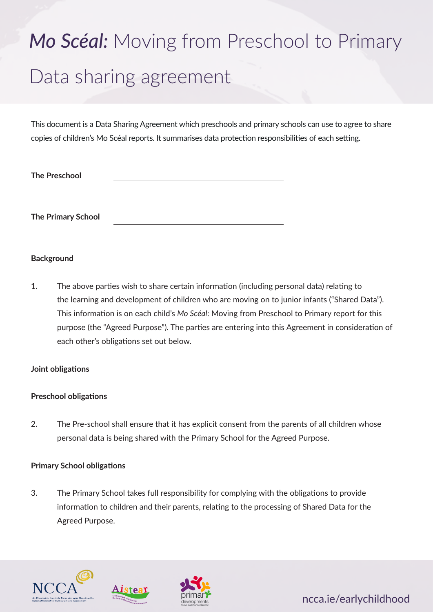# *Mo Scéal:* Moving from Preschool to Primary Data sharing agreement

This document is a Data Sharing Agreement which preschools and primary schools can use to agree to share copies of children's Mo Scéal reports. It summarises data protection responsibilities of each setting.

**The Preschool** 

**The Primary School** 

#### **Background**

1. The above parties wish to share certain information (including personal data) relating to the learning and development of children who are moving on to junior infants ("Shared Data"). This information is on each child's *Mo Scéal*: Moving from Preschool to Primary report for this purpose (the "Agreed Purpose"). The parties are entering into this Agreement in consideration of each other's obligations set out below.

## **Joint obligations**

## **Preschool obligations**

2. The Pre-school shall ensure that it has explicit consent from the parents of all children whose personal data is being shared with the Primary School for the Agreed Purpose.

#### **Primary School obligations**

3. The Primary School takes full responsibility for complying with the obligations to provide information to children and their parents, relating to the processing of Shared Data for the Agreed Purpose.







ncca.ie/earlychildhood